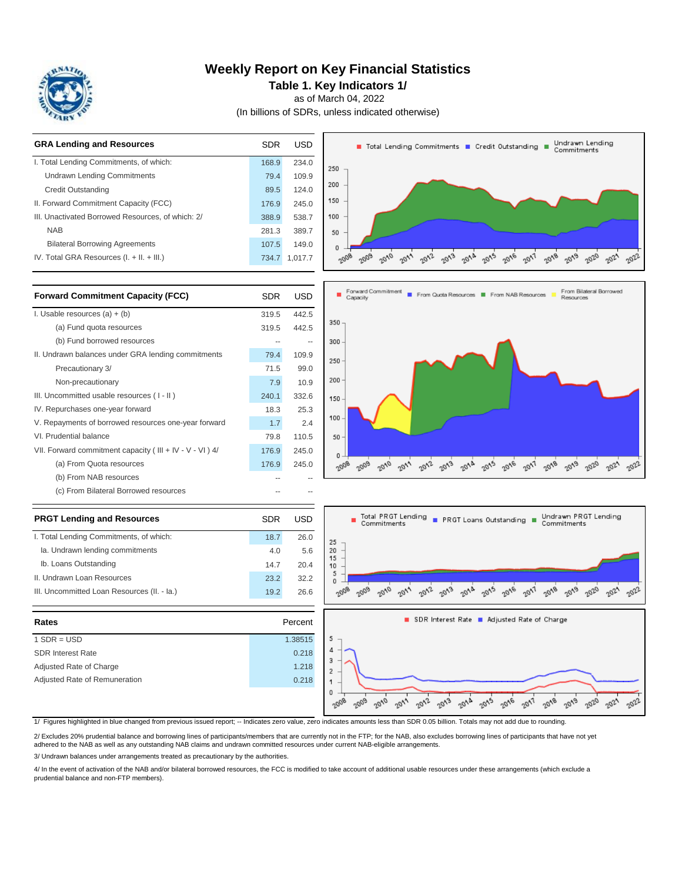

### **Weekly Report on Key Financial Statistics**

**Table 1. Key Indicators 1/**

as of March 04, 2022

(In billions of SDRs, unless indicated otherwise)



| <b>Forward Commitment Capacity (FCC)</b>                 | <b>SDR</b> | USD   |
|----------------------------------------------------------|------------|-------|
| I. Usable resources $(a) + (b)$                          | 319.5      | 442.5 |
| (a) Fund quota resources                                 | 319.5      | 442.5 |
| (b) Fund borrowed resources                              |            |       |
| II. Undrawn balances under GRA lending commitments       | 79.4       | 109.9 |
| Precautionary 3/                                         | 71.5       | 99.0  |
| Non-precautionary                                        | 7.9        | 10.9  |
| III. Uncommitted usable resources (I-II)                 | 240.1      | 332.6 |
| IV. Repurchases one-year forward                         | 18.3       | 25.3  |
| V. Repayments of borrowed resources one-year forward     | 1.7        | 2.4   |
| VI. Prudential balance                                   | 79.8       | 110.5 |
| VII. Forward commitment capacity (III + IV - V - VI ) 4/ | 176.9      | 245.0 |
| (a) From Quota resources                                 | 176.9      | 245.0 |
| (b) From NAB resources                                   |            |       |
| (c) From Bilateral Borrowed resources                    |            |       |







| Rates                         | Percent |
|-------------------------------|---------|
| $1$ SDR = USD                 | 1.38515 |
| <b>SDR Interest Rate</b>      | 0.218   |
| Adjusted Rate of Charge       | 1.218   |
| Adjusted Rate of Remuneration | 0.218   |
|                               |         |



1/ Figures highlighted in blue changed from previous issued report; -- Indicates zero value, zero indicates amounts less than SDR 0.05 billion. Totals may not add due to rounding.

2/ Excludes 20% prudential balance and borrowing lines of participants/members that are currently not in the FTP; for the NAB, also excludes borrowing lines of participants that have not yet adhered to the NAB as well as any outstanding NAB claims and undrawn committed resources under current NAB-eligible arrangements.

3/ Undrawn balances under arrangements treated as precautionary by the authorities.

4/ In the event of activation of the NAB and/or bilateral borrowed resources, the FCC is modified to take account of additional usable resources under these arrangements (which exclude a prudential balance and non-FTP members).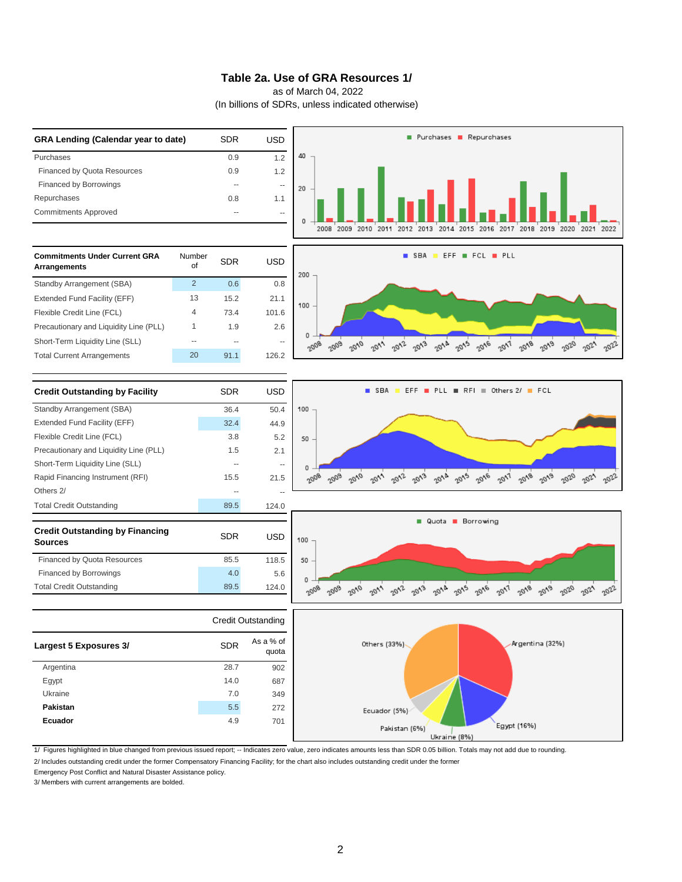#### **Table 2a. Use of GRA Resources 1/**

as of March 04, 2022

(In billions of SDRs, unless indicated otherwise)



1/ Figures highlighted in blue changed from previous issued report; -- Indicates zero value, zero indicates amounts less than SDR 0.05 billion. Totals may not add due to rounding.

2/ Includes outstanding credit under the former Compensatory Financing Facility; for the chart also includes outstanding credit under the former

Emergency Post Conflict and Natural Disaster Assistance policy.

3/ Members with current arrangements are bolded.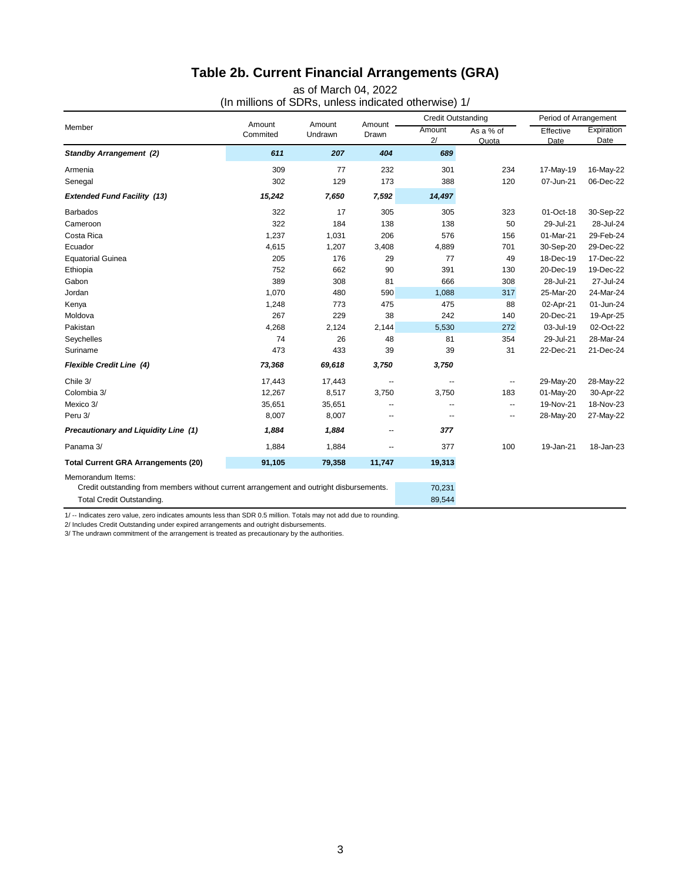# **Table 2b. Current Financial Arrangements (GRA)**

as of March 04, 2022

(In millions of SDRs, unless indicated otherwise) 1/

| Member                                                                                                       | Amount   | Amount  |                 | <b>Credit Outstanding</b> |                    | Period of Arrangement |                    |
|--------------------------------------------------------------------------------------------------------------|----------|---------|-----------------|---------------------------|--------------------|-----------------------|--------------------|
|                                                                                                              | Commited | Undrawn | Amount<br>Drawn | Amount<br>2/              | As a % of<br>Quota | Effective<br>Date     | Expiration<br>Date |
| <b>Standby Arrangement (2)</b>                                                                               | 611      | 207     | 404             | 689                       |                    |                       |                    |
| Armenia                                                                                                      | 309      | 77      | 232             | 301                       | 234                | 17-May-19             | 16-May-22          |
| Senegal                                                                                                      | 302      | 129     | 173             | 388                       | 120                | 07-Jun-21             | 06-Dec-22          |
| <b>Extended Fund Facility (13)</b>                                                                           | 15,242   | 7,650   | 7,592           | 14,497                    |                    |                       |                    |
| <b>Barbados</b>                                                                                              | 322      | 17      | 305             | 305                       | 323                | 01-Oct-18             | 30-Sep-22          |
| Cameroon                                                                                                     | 322      | 184     | 138             | 138                       | 50                 | 29-Jul-21             | 28-Jul-24          |
| Costa Rica                                                                                                   | 1,237    | 1,031   | 206             | 576                       | 156                | 01-Mar-21             | 29-Feb-24          |
| Ecuador                                                                                                      | 4,615    | 1,207   | 3,408           | 4,889                     | 701                | 30-Sep-20             | 29-Dec-22          |
| <b>Equatorial Guinea</b>                                                                                     | 205      | 176     | 29              | 77                        | 49                 | 18-Dec-19             | 17-Dec-22          |
| Ethiopia                                                                                                     | 752      | 662     | 90              | 391                       | 130                | 20-Dec-19             | 19-Dec-22          |
| Gabon                                                                                                        | 389      | 308     | 81              | 666                       | 308                | 28-Jul-21             | 27-Jul-24          |
| Jordan                                                                                                       | 1,070    | 480     | 590             | 1,088                     | 317                | 25-Mar-20             | 24-Mar-24          |
| Kenya                                                                                                        | 1,248    | 773     | 475             | 475                       | 88                 | 02-Apr-21             | 01-Jun-24          |
| Moldova                                                                                                      | 267      | 229     | 38              | 242                       | 140                | 20-Dec-21             | 19-Apr-25          |
| Pakistan                                                                                                     | 4,268    | 2,124   | 2,144           | 5,530                     | 272                | 03-Jul-19             | 02-Oct-22          |
| Seychelles                                                                                                   | 74       | 26      | 48              | 81                        | 354                | 29-Jul-21             | 28-Mar-24          |
| Suriname                                                                                                     | 473      | 433     | 39              | 39                        | 31                 | 22-Dec-21             | 21-Dec-24          |
| <b>Flexible Credit Line (4)</b>                                                                              | 73,368   | 69,618  | 3,750           | 3,750                     |                    |                       |                    |
| Chile 3/                                                                                                     | 17,443   | 17,443  | --              | --                        | --                 | 29-May-20             | 28-May-22          |
| Colombia 3/                                                                                                  | 12,267   | 8,517   | 3,750           | 3,750                     | 183                | 01-May-20             | 30-Apr-22          |
| Mexico 3/                                                                                                    | 35,651   | 35,651  |                 | --                        | --                 | 19-Nov-21             | 18-Nov-23          |
| Peru 3/                                                                                                      | 8,007    | 8,007   | --              | --                        | --                 | 28-May-20             | 27-May-22          |
| Precautionary and Liquidity Line (1)                                                                         | 1,884    | 1,884   | ۰.              | 377                       |                    |                       |                    |
| Panama 3/                                                                                                    | 1,884    | 1,884   |                 | 377                       | 100                | 19-Jan-21             | 18-Jan-23          |
| <b>Total Current GRA Arrangements (20)</b>                                                                   | 91,105   | 79,358  | 11,747          | 19,313                    |                    |                       |                    |
| Memorandum Items:<br>Credit outstanding from members without current arrangement and outright disbursements. |          |         | 70,231          |                           |                    |                       |                    |

Total Credit Outstanding. 89,544

1/ -- Indicates zero value, zero indicates amounts less than SDR 0.5 million. Totals may not add due to rounding.

2/ Includes Credit Outstanding under expired arrangements and outright disbursements.

3/ The undrawn commitment of the arrangement is treated as precautionary by the authorities.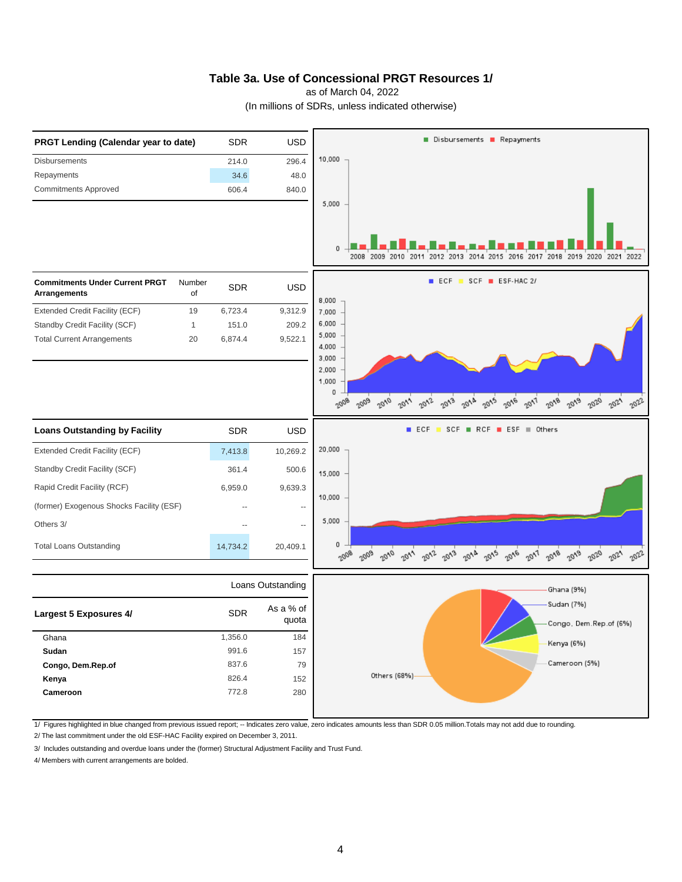#### **Table 3a. Use of Concessional PRGT Resources 1/**

as of March 04, 2022

(In millions of SDRs, unless indicated otherwise)



1/ Figures highlighted in blue changed from previous issued report; -- Indicates zero value, zero indicates amounts less than SDR 0.05 million.Totals may not add due to rounding.

2/ The last commitment under the old ESF-HAC Facility expired on December 3, 2011.

3/ Includes outstanding and overdue loans under the (former) Structural Adjustment Facility and Trust Fund.

4/ Members with current arrangements are bolded.